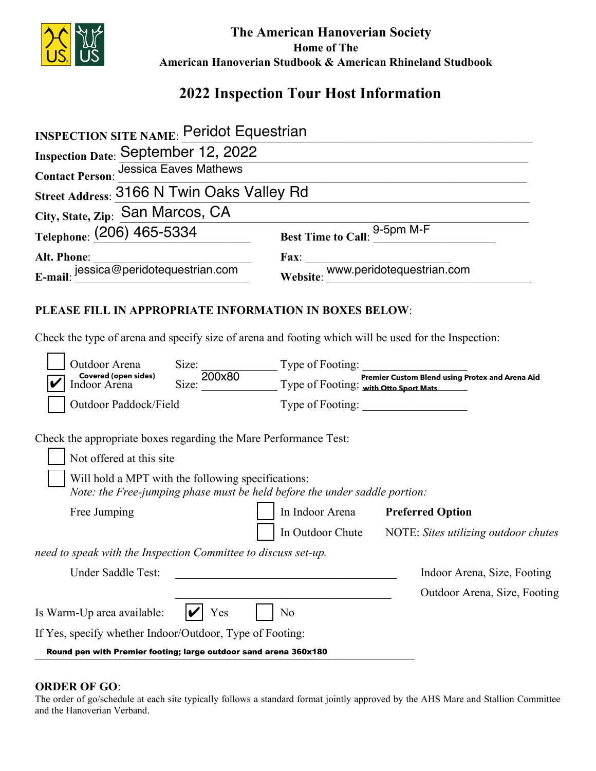

The American Hanoverian Society **Home of The** American Hanoverian Studbook & American Rhineland Studbook

## 2022 Inspection Tour Host Information

| <b>INSPECTION SITE NAME: Peridot Equestrian</b>                                                                                                                                                                                  |                                                                                                                                      |                                                 |
|----------------------------------------------------------------------------------------------------------------------------------------------------------------------------------------------------------------------------------|--------------------------------------------------------------------------------------------------------------------------------------|-------------------------------------------------|
| <b>Inspection Date: September 12, 2022</b>                                                                                                                                                                                       |                                                                                                                                      |                                                 |
| <b>Jessica Eaves Mathews</b><br><b>Contact Person:</b>                                                                                                                                                                           |                                                                                                                                      |                                                 |
| Street Address: 3166 N Twin Oaks Valley Rd                                                                                                                                                                                       |                                                                                                                                      |                                                 |
| City, State, Zip: San Marcos, CA                                                                                                                                                                                                 |                                                                                                                                      |                                                 |
| Telephone: (206) 465-5334                                                                                                                                                                                                        |                                                                                                                                      | Best Time to Call: 9-5pm M-F                    |
|                                                                                                                                                                                                                                  |                                                                                                                                      |                                                 |
| Alt. Phone:<br>E-mail: jessica@peridotequestrian.com                                                                                                                                                                             |                                                                                                                                      | Fax:<br>Website: www.peridotequestrian.com      |
| PLEASE FILL IN APPROPRIATE INFORMATION IN BOXES BELOW:<br>Check the type of arena and specify size of arena and footing which will be used for the Inspection:                                                                   |                                                                                                                                      |                                                 |
| Outdoor Arena                                                                                                                                                                                                                    |                                                                                                                                      |                                                 |
| <b>Covered (open sides)</b><br>Indoor Arena                                                                                                                                                                                      | Size: 200x80<br>Size: 200x80<br>Type of Footing: <b>Premier Custom Blend using P</b><br>Type of Footing: <b>with Otto Sport Mats</b> | Premier Custom Blend using Protex and Arena Aid |
| Outdoor Paddock/Field                                                                                                                                                                                                            |                                                                                                                                      |                                                 |
| Check the appropriate boxes regarding the Mare Performance Test:<br>Not offered at this site<br>Will hold a MPT with the following specifications:<br>Note: the Free-jumping phase must be held before the under saddle portion: |                                                                                                                                      |                                                 |
| Free Jumping                                                                                                                                                                                                                     | In Indoor Arena                                                                                                                      | <b>Preferred Option</b>                         |
|                                                                                                                                                                                                                                  | In Outdoor Chute                                                                                                                     | NOTE: Sites utilizing outdoor chutes            |
| need to speak with the Inspection Committee to discuss set-up.                                                                                                                                                                   |                                                                                                                                      |                                                 |
| Under Saddle Test:                                                                                                                                                                                                               |                                                                                                                                      | Indoor Arena, Size, Footing                     |
|                                                                                                                                                                                                                                  |                                                                                                                                      | Outdoor Arena, Size, Footing                    |
| Is Warm-Up area available:<br><b>Yes</b>                                                                                                                                                                                         | N <sub>o</sub>                                                                                                                       |                                                 |

If Yes, specify whether Indoor/Outdoor, Type of Footing:

Round pen with Premier footing; large outdoor sand arena 360x180

## **ORDER OF GO:**

The order of go/schedule at each site typically follows a standard format jointly approved by the AHS Mare and Stallion Committee and the Hanoverian Verband.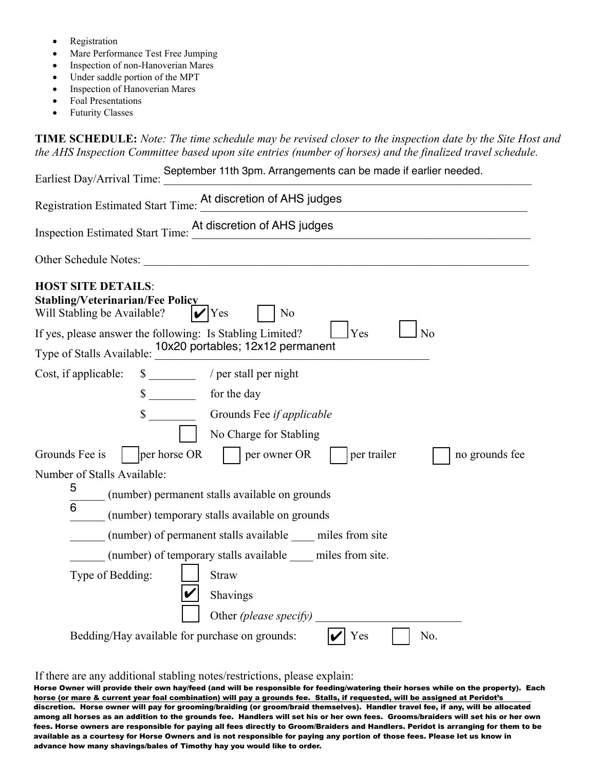- **Registration**
- Mare Performance Test Free Jumping
- Inspection of non-Hanoverian Mares
- Under saddle portion of the MPT
- Inspection of Hanoverian Mares
- Foal Presentations
- **Futurity Classes**

**TIME SCHEDULE:** Note: The time schedule may be revised closer to the inspection date by the Site Host and *the AHS Inspection Committee based upon site entries (number of horses) and the finalized travel schedule.* 

| September 11th 3pm. Arrangements can be made if earlier needed.<br>Earliest Day/Arrival Time:                                      |  |
|------------------------------------------------------------------------------------------------------------------------------------|--|
| Registration Estimated Start Time: At discretion of AHS judges                                                                     |  |
| Inspection Estimated Start Time: At discretion of AHS judges                                                                       |  |
|                                                                                                                                    |  |
| <b>HOST SITE DETAILS:</b><br><b>Stabling/Veterinarian/Fee Policy</b><br>Will Stabling be Available?<br>$ V $ Yes<br>N <sub>o</sub> |  |
| Yes<br>N <sub>o</sub><br>If yes, please answer the following: Is Stabling Limited?                                                 |  |
| Type of Stalls Available: 10x20 portables; 12x12 permanent                                                                         |  |
| \$ __________ / per stall per night<br>Cost, if applicable:                                                                        |  |
| \$ for the day                                                                                                                     |  |
|                                                                                                                                    |  |
| No Charge for Stabling                                                                                                             |  |
| per horse OR<br>Grounds Fee is<br>per owner OR<br>per trailer<br>no grounds fee                                                    |  |
| Number of Stalls Available:                                                                                                        |  |
| 5<br>(number) permanent stalls available on grounds                                                                                |  |
| 6<br>(number) temporary stalls available on grounds                                                                                |  |
| (number) of permanent stalls available miles from site                                                                             |  |
| (number) of temporary stalls available miles from site.                                                                            |  |
| Type of Bedding:<br><b>Straw</b>                                                                                                   |  |
| Shavings                                                                                                                           |  |
| Other <i>(please specify)</i>                                                                                                      |  |
| Bedding/Hay available for purchase on grounds:<br>Yes<br>No.<br>V                                                                  |  |

If there are any additional stabling notes/restrictions, please explain:

horse (or mare & current year foal combination) will pay a grounds fee. Stalls, if requested, will be assigned at Peridot's Horse Owner will provide their own hay/feed (and will be responsible for feeding/watering their horses while on the property). Each discretion. Horse owner will pay for grooming/braiding (or groom/braid themselves). Handler travel fee, if any, will be allocated among all horses as an addition to the grounds fee. Handlers will set his or her own fees. Grooms/braiders will set his or her own fees. Horse owners are responsible for paying all fees directly to Groom/Braiders and Handlers. Peridot is arranging for them to be available as a courtesy for Horse Owners and is not responsible for paying any portion of those fees. Please let us know in advance how many shavings/bales of Timothy hay you would like to order.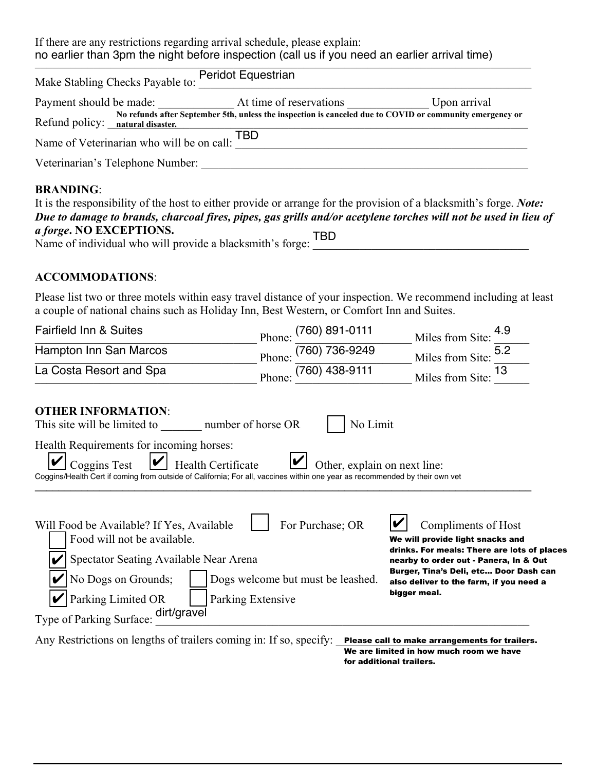If there are any restrictions regarding arrival schedule, please explain: no earlier than 3pm the night before inspection (call us if you need an earlier arrival time)

| Make Stabling Checks Payable to:              | Peridot Equestrian                                                                                       |              |
|-----------------------------------------------|----------------------------------------------------------------------------------------------------------|--------------|
|                                               | Payment should be made: At time of reservations                                                          | Upon arrival |
| Refund policy: natural disaster.              | No refunds after September 5th, unless the inspection is canceled due to COVID or community emergency or |              |
| Name of Veterinarian who will be on call: TBD |                                                                                                          |              |
| Veterinarian's Telephone Number:              |                                                                                                          |              |
|                                               |                                                                                                          |              |

## BRANDING:

| It is the responsibility of the host to either provide or arrange for the provision of a blacksmith's forge. <i>Note</i> : |     |
|----------------------------------------------------------------------------------------------------------------------------|-----|
| Due to damage to brands, charcoal fires, pipes, gas grills and/or acetylene torches will not be used in lieu of            |     |
| <i>a forge.</i> NO EXCEPTIONS.                                                                                             | TBD |
| Name of individual who will provide a blacksmith's forge:                                                                  |     |

## **ACCOMMODATIONS:**

Please list two or three motels within easy travel distance of your inspection. We recommend including at least a couple of national chains such as Holiday Inn, Best Western, or Comfort Inn and Suites.

| <b>Fairfield Inn &amp; Suites</b>                                                                                                                                                                                                                    | (760) 891-0111<br>Phone:                                                   | 4.9<br>Miles from Site:                                                                                                                                                                                                                               |
|------------------------------------------------------------------------------------------------------------------------------------------------------------------------------------------------------------------------------------------------------|----------------------------------------------------------------------------|-------------------------------------------------------------------------------------------------------------------------------------------------------------------------------------------------------------------------------------------------------|
| Hampton Inn San Marcos                                                                                                                                                                                                                               | (760) 736-9249<br>Phone:                                                   | 5.2<br>Miles from Site:                                                                                                                                                                                                                               |
| La Costa Resort and Spa                                                                                                                                                                                                                              | (760) 438-9111<br>Phone                                                    | 13<br>Miles from Site:                                                                                                                                                                                                                                |
| <b>OTHER INFORMATION:</b><br>This site will be limited to number of horse OR                                                                                                                                                                         | No Limit                                                                   |                                                                                                                                                                                                                                                       |
| Health Requirements for incoming horses:<br>$ \boldsymbol{\mathcal{V}} $<br><b>Coggins Test</b><br>Health Certificate<br>Coggins/Health Cert if coming from outside of California; For all, vaccines within one year as recommended by their own vet | Other, explain on next line:                                               |                                                                                                                                                                                                                                                       |
| Will Food be Available? If Yes, Available<br>Food will not be available.<br>Spectator Seating Available Near Arena<br>No Dogs on Grounds;<br>Parking Limited OR<br>dirt/gravel<br>Type of Parking Surface:                                           | For Purchase; OR<br>Dogs welcome but must be leashed.<br>Parking Extensive | Compliments of Host<br>We will provide light snacks and<br>drinks. For meals: There are lots of places<br>nearby to order out - Panera, In & Out<br>Burger, Tina's Deli, etc Door Dash can<br>also deliver to the farm, if you need a<br>bigger meal. |
| Any Restrictions on lengths of trailers coming in: If so, specify:                                                                                                                                                                                   |                                                                            | Please call to make arrangements for trailers.<br>We are limited in how much room we have<br>for additional trailers.                                                                                                                                 |